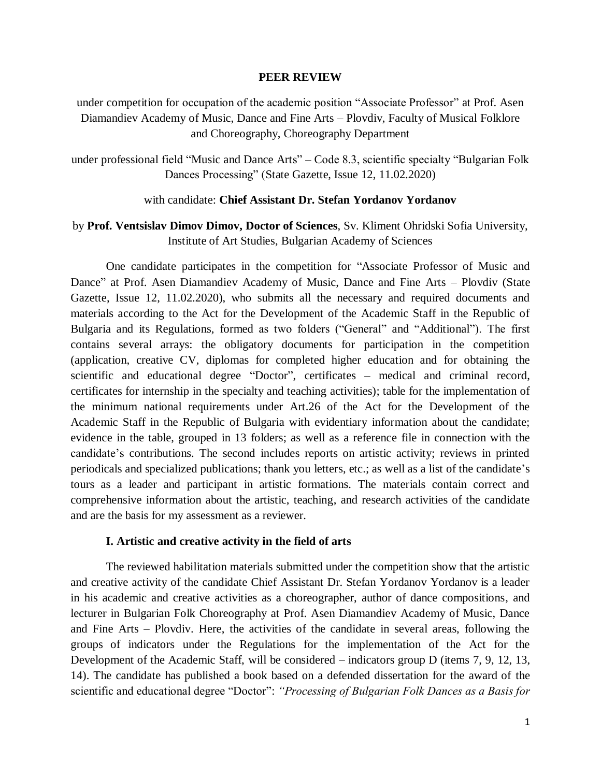#### **PEER REVIEW**

under competition for occupation of the academic position "Associate Professor" at Prof. Asen Diamandiev Academy of Music, Dance and Fine Arts – Plovdiv, Faculty of Musical Folklore and Choreography, Choreography Department

under professional field "Music and Dance Arts" – Code 8.3, scientific specialty "Bulgarian Folk Dances Processing" (State Gazette, Issue 12, 11.02.2020)

#### with candidate: **Chief Assistant Dr. Stefan Yordanov Yordanov**

# by **Prof. Ventsislav Dimov Dimov, Doctor of Sciences**, Sv. Kliment Ohridski Sofia University, Institute of Art Studies, Bulgarian Academy of Sciences

One candidate participates in the competition for "Associate Professor of Music and Dance" at Prof. Asen Diamandiev Academy of Music, Dance and Fine Arts – Plovdiv (State Gazette, Issue 12, 11.02.2020), who submits all the necessary and required documents and materials according to the Act for the Development of the Academic Staff in the Republic of Bulgaria and its Regulations, formed as two folders ("General" and "Additional"). The first contains several arrays: the obligatory documents for participation in the competition (application, creative CV, diplomas for completed higher education and for obtaining the scientific and educational degree "Doctor", certificates – medical and criminal record, certificates for internship in the specialty and teaching activities); table for the implementation of the minimum national requirements under Art.26 of the Act for the Development of the Academic Staff in the Republic of Bulgaria with evidentiary information about the candidate; evidence in the table, grouped in 13 folders; as well as a reference file in connection with the candidate's contributions. The second includes reports on artistic activity; reviews in printed periodicals and specialized publications; thank you letters, etc.; as well as a list of the candidate's tours as a leader and participant in artistic formations. The materials contain correct and comprehensive information about the artistic, teaching, and research activities of the candidate and are the basis for my assessment as a reviewer.

#### **I. Artistic and creative activity in the field of arts**

The reviewed habilitation materials submitted under the competition show that the artistic and creative activity of the candidate Chief Assistant Dr. Stefan Yordanov Yordanov is a leader in his academic and creative activities as a choreographer, author of dance compositions, and lecturer in Bulgarian Folk Choreography at Prof. Asen Diamandiev Academy of Music, Dance and Fine Arts – Plovdiv. Here, the activities of the candidate in several areas, following the groups of indicators under the Regulations for the implementation of the Act for the Development of the Academic Staff, will be considered – indicators group D (items 7, 9, 12, 13, 14). The candidate has published a book based on a defended dissertation for the award of the scientific and educational degree "Doctor": *"Processing of Bulgarian Folk Dances as a Basis for*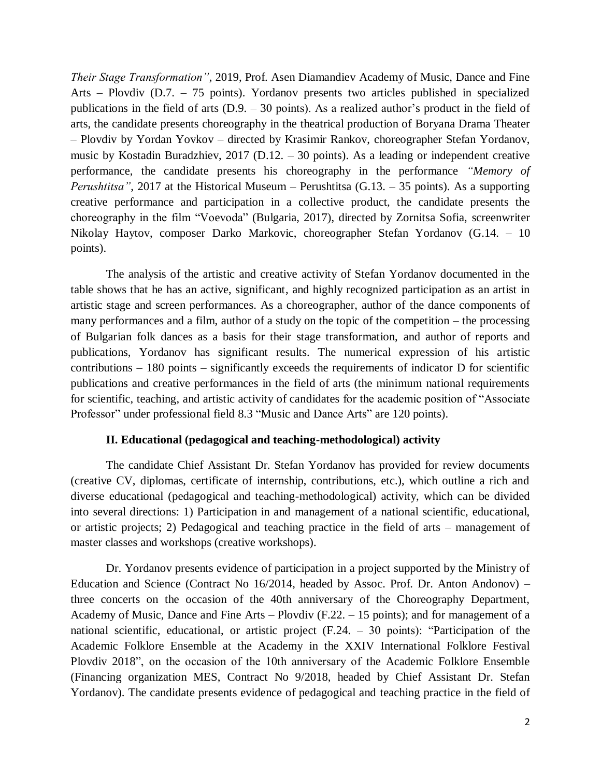*Their Stage Transformation"*, 2019, Prof. Asen Diamandiev Academy of Music, Dance and Fine Arts – Plovdiv (D.7. – 75 points). Yordanov presents two articles published in specialized publications in the field of arts (D.9. – 30 points). As a realized author's product in the field of arts, the candidate presents choreography in the theatrical production of Boryana Drama Theater – Plovdiv by Yordan Yovkov – directed by Krasimir Rankov, choreographer Stefan Yordanov, music by Kostadin Buradzhiev, 2017 (D.12. – 30 points). As a leading or independent creative performance, the candidate presents his choreography in the performance *"Memory of Perushtitsa"*, 2017 at the Historical Museum – Perushtitsa (G.13. – 35 points). As a supporting creative performance and participation in a collective product, the candidate presents the choreography in the film "Voevoda" (Bulgaria, 2017), directed by Zornitsa Sofia, screenwriter Nikolay Haytov, composer Darko Markovic, choreographer Stefan Yordanov (G.14. – 10 points).

The analysis of the artistic and creative activity of Stefan Yordanov documented in the table shows that he has an active, significant, and highly recognized participation as an artist in artistic stage and screen performances. As a choreographer, author of the dance components of many performances and a film, author of a study on the topic of the competition – the processing of Bulgarian folk dances as a basis for their stage transformation, and author of reports and publications, Yordanov has significant results. The numerical expression of his artistic contributions  $-180$  points  $-$  significantly exceeds the requirements of indicator D for scientific publications and creative performances in the field of arts (the minimum national requirements for scientific, teaching, and artistic activity of candidates for the academic position of "Associate Professor" under professional field 8.3 "Music and Dance Arts" are 120 points).

## **II. Educational (pedagogical and teaching-methodological) activity**

The candidate Chief Assistant Dr. Stefan Yordanov has provided for review documents (creative CV, diplomas, certificate of internship, contributions, etc.), which outline a rich and diverse educational (pedagogical and teaching-methodological) activity, which can be divided into several directions: 1) Participation in and management of a national scientific, educational, or artistic projects; 2) Pedagogical and teaching practice in the field of arts – management of master classes and workshops (creative workshops).

Dr. Yordanov presents evidence of participation in a project supported by the Ministry of Education and Science (Contract No 16/2014, headed by Assoc. Prof. Dr. Anton Andonov) – three concerts on the occasion of the 40th anniversary of the Choreography Department, Academy of Music, Dance and Fine Arts – Plovdiv (F.22. – 15 points); and for management of a national scientific, educational, or artistic project (F.24. – 30 points): "Participation of the Academic Folklore Ensemble at the Academy in the XXIV International Folklore Festival Plovdiv 2018", on the occasion of the 10th anniversary of the Academic Folklore Ensemble (Financing organization MES, Contract No 9/2018, headed by Chief Assistant Dr. Stefan Yordanov). The candidate presents evidence of pedagogical and teaching practice in the field of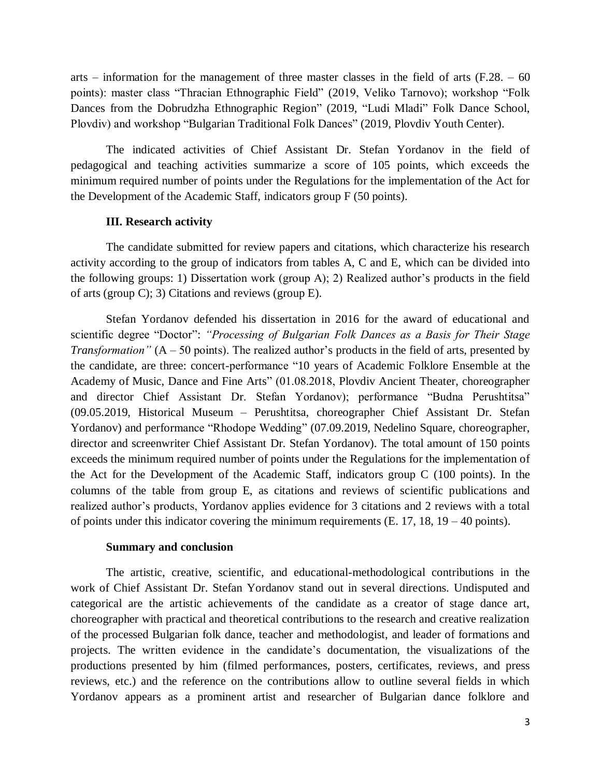arts – information for the management of three master classes in the field of arts  $(F.28. - 60)$ points): master class "Thracian Ethnographic Field" (2019, Veliko Tarnovo); workshop "Folk Dances from the Dobrudzha Ethnographic Region" (2019, "Ludi Mladi" Folk Dance School, Plovdiv) and workshop "Bulgarian Traditional Folk Dances" (2019, Plovdiv Youth Center).

The indicated activities of Chief Assistant Dr. Stefan Yordanov in the field of pedagogical and teaching activities summarize a score of 105 points, which exceeds the minimum required number of points under the Regulations for the implementation of the Act for the Development of the Academic Staff, indicators group F (50 points).

### **III. Research activity**

The candidate submitted for review papers and citations, which characterize his research activity according to the group of indicators from tables A, C and E, which can be divided into the following groups: 1) Dissertation work (group A); 2) Realized author's products in the field of arts (group C); 3) Citations and reviews (group E).

Stefan Yordanov defended his dissertation in 2016 for the award of educational and scientific degree "Doctor": *"Processing of Bulgarian Folk Dances as a Basis for Their Stage Transformation"* (A – 50 points). The realized author's products in the field of arts, presented by the candidate, are three: concert-performance "10 years of Academic Folklore Ensemble at the Academy of Music, Dance and Fine Arts" (01.08.2018, Plovdiv Ancient Theater, choreographer and director Chief Assistant Dr. Stefan Yordanov); performance "Budna Perushtitsa" (09.05.2019, Historical Museum – Perushtitsa, choreographer Chief Assistant Dr. Stefan Yordanov) and performance "Rhodope Wedding" (07.09.2019, Nedelino Square, choreographer, director and screenwriter Chief Assistant Dr. Stefan Yordanov). The total amount of 150 points exceeds the minimum required number of points under the Regulations for the implementation of the Act for the Development of the Academic Staff, indicators group C (100 points). In the columns of the table from group E, as citations and reviews of scientific publications and realized author's products, Yordanov applies evidence for 3 citations and 2 reviews with a total of points under this indicator covering the minimum requirements (E. 17, 18, 19 – 40 points).

#### **Summary and conclusion**

The artistic, creative, scientific, and educational-methodological contributions in the work of Chief Assistant Dr. Stefan Yordanov stand out in several directions. Undisputed and categorical are the artistic achievements of the candidate as a creator of stage dance art, choreographer with practical and theoretical contributions to the research and creative realization of the processed Bulgarian folk dance, teacher and methodologist, and leader of formations and projects. The written evidence in the candidate's documentation, the visualizations of the productions presented by him (filmed performances, posters, certificates, reviews, and press reviews, etc.) and the reference on the contributions allow to outline several fields in which Yordanov appears as a prominent artist and researcher of Bulgarian dance folklore and